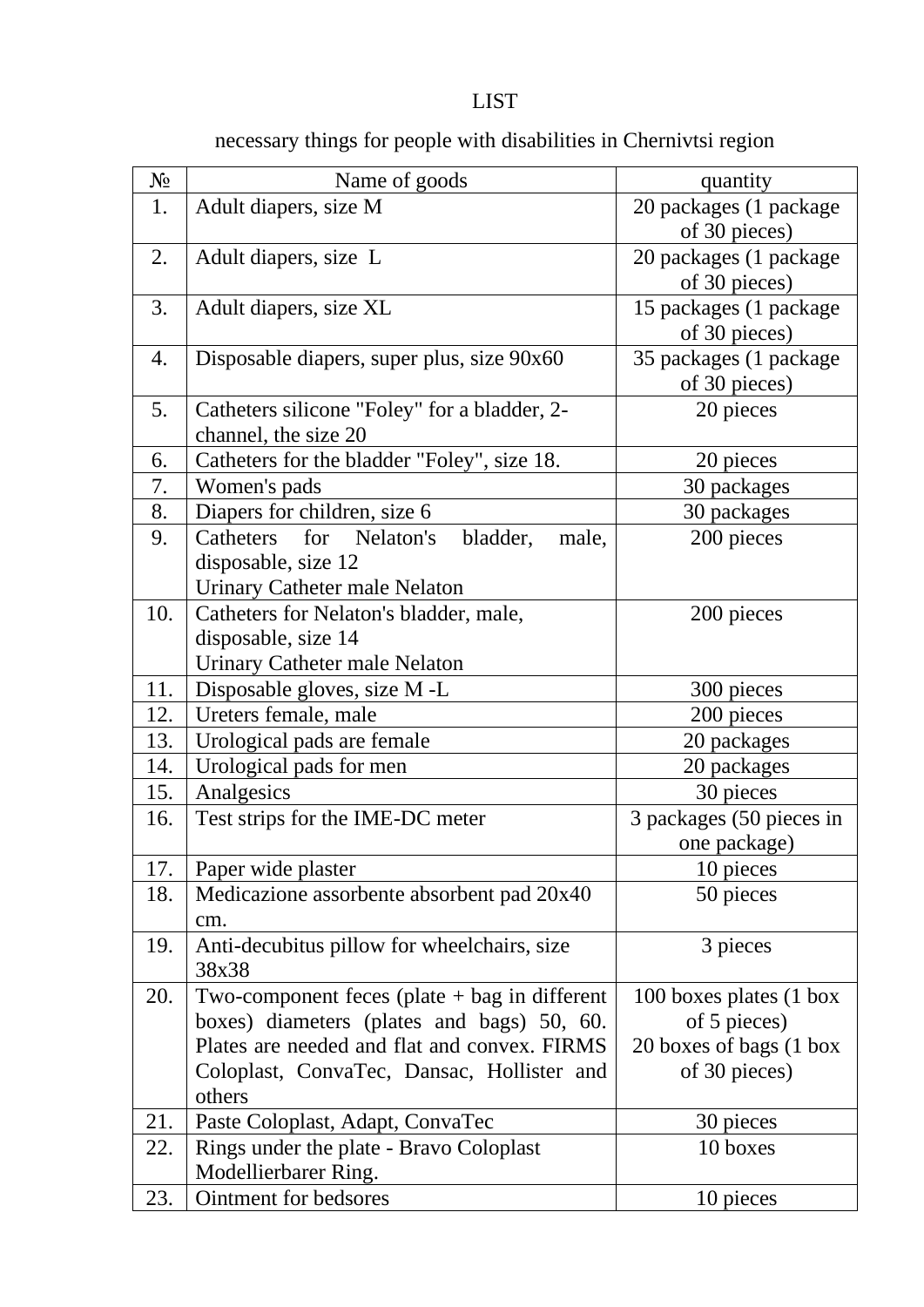## **LIST**

## $N_2$  Name of goods quantity 1. Adult diapers, size M  $20$  packages (1 package of 30 pieces) 2. Adult diapers, size L 20 packages (1 package of 30 pieces) 3. Adult diapers, size XL 15 packages (1 packages) of 30 pieces) 4. Disposable diapers, super plus, size 90x60 35 packages (1 package of 30 pieces) 5. Catheters silicone "Foley" for a bladder, 2 channel, the size 20 20 pieces 6. Catheters for the bladder "Foley", size 18. 20 pieces 7. Women's pads 30 packages 8. Diapers for children, size 6 30 packages 9. Catheters for Nelaton's bladder, male, disposable, size 12 Urinary Catheter male Nelaton 200 pieces 10. Catheters for Nelaton's bladder, male, disposable, size 14 Urinary Catheter male Nelaton 200 pieces 11. Disposable gloves, size M -L 300 pieces 12. Ureters female, male 200 pieces 13. Urological pads are female 20 packages 14. Urological pads for men 20 packages 15. Analgesics 30 pieces 16. Test strips for the IME-DC meter 3 packages (50 pieces in one package) 17. Paper wide plaster 10 pieces 18. Medicazione assorbente absorbent pad 20х40 cm. 50 pieces 19. Anti-decubitus pillow for wheelchairs, size 38x38 3 pieces 20. Two-component feces (plate  $+$  bag in different boxes) diameters (plates and bags) 50, 60. Plates are needed and flat and convex. FIRMS Coloplast, ConvaTec, Dansac, Hollister and others 100 boxes plates (1 box of 5 pieces) 20 boxes of bags (1 box of 30 pieces) 21. Paste Coloplast, Adapt, ConvaTec 30 pieces 22. Rings under the plate - Bravo Coloplast Modellierbarer Ring. 10 boxes 23. Ointment for bedsores 10 pieces

## necessary things for people with disabilities in Chernivtsi region